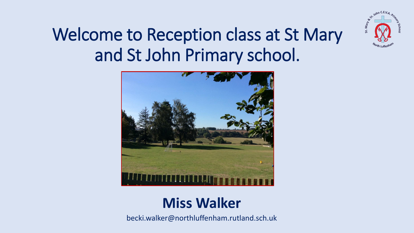

## Welcome to Reception class at St Mary and St John Primary school.



### **Miss Walker**

becki.walker@northluffenham.rutland.sch.uk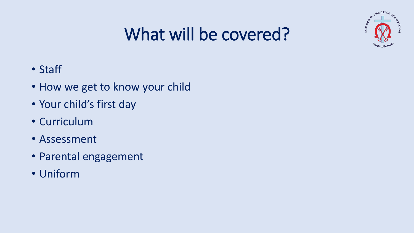

# What will be covered?

- Staff
- How we get to know your child
- Your child's first day
- Curriculum
- Assessment
- Parental engagement
- Uniform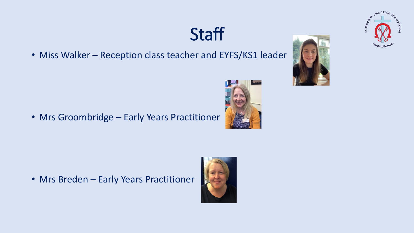## **Staff**

• Miss Walker - Reception class teacher and EYFS/KS1 leader

• Mrs Groombridge – Early Years Practitioner

• Mrs Breden – Early Years Practitioner







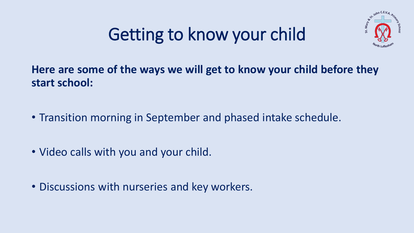# Getting to know your child



### **Here are some of the ways we will get to know your child before they start school:**

- Transition morning in September and phased intake schedule.
- Video calls with you and your child.
- Discussions with nurseries and key workers.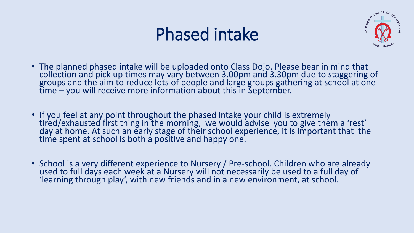## Phased intake



- The planned phased intake will be uploaded onto Class Dojo. Please bear in mind that collection and pick up times may vary between 3.00pm and 3.30pm due to staggering of groups and the aim to reduce lots of people and large groups gathering at school at one time – you will receive more information about this in September.
- If you feel at any point throughout the phased intake your child is extremely tired/exhausted first thing in the morning, we would advise you to give them a 'rest' day at home. At such an early stage of their school experience, it is important that the time spent at school is both a positive and happy one.
- School is a very different experience to Nursery / Pre-school. Children who are already used to full days each week at a Nursery will not necessarily be used to a full day of 'learning through play', with new friends and in a new environment, at school.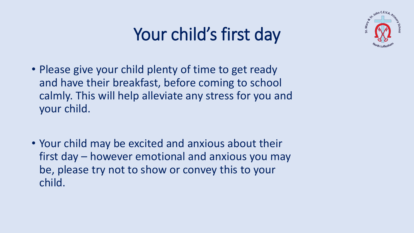# Your child's first day



- Please give your child plenty of time to get ready and have their breakfast, before coming to school calmly. This will help alleviate any stress for you and your child.
- Your child may be excited and anxious about their first day – however emotional and anxious you may be, please try not to show or convey this to your child.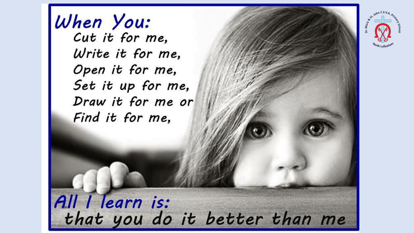When You: Cut it for me, Write it for me, Open it for me, Set it up for me, Draw it for me or Find it for me,



All I learn is:<br>that you do it better than me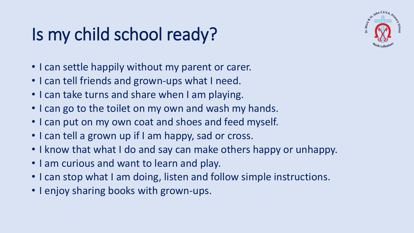# Is my child school ready?



- I can settle happily without my parent or carer.
- I can tell friends and grown-ups what I need.
- I can take turns and share when I am playing.
- I can go to the toilet on my own and wash my hands.
- I can put on my own coat and shoes and feed myself.
- I can tell a grown up if I am happy, sad or cross.
- I know that what I do and say can make others happy or unhappy.
- I am curious and want to learn and play.
- I can stop what I am doing, listen and follow simple instructions.
- I enjoy sharing books with grown-ups.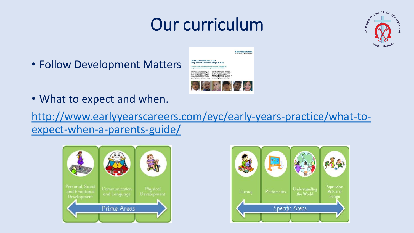# Our curriculum



• Follow Development Matters



**Early Education** 

• What to expect and when.

[http://www.earlyyearscareers.com/eyc/early-years-practice/what-to](http://www.earlyyearscareers.com/eyc/early-years-practice/what-to-expect-when-a-parents-guide/)expect-when-a-parents-guide/



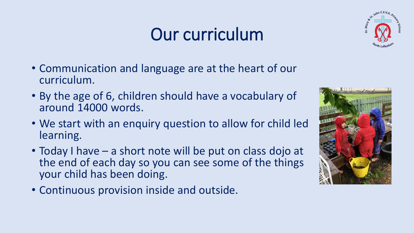# Our curriculum



- Communication and language are at the heart of our curriculum.
- By the age of 6, children should have a vocabulary of around 14000 words.
- We start with an enquiry question to allow for child led learning.
- Today I have a short note will be put on class dojo at the end of each day so you can see some of the things your child has been doing.
- Continuous provision inside and outside.

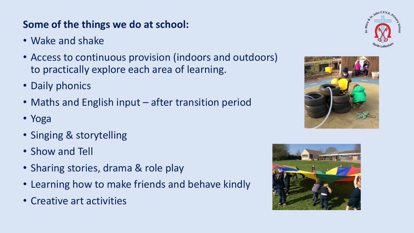### **Some of the things we do at school:**

- Wake and shake
- Access to continuous provision (indoors and outdoors) to practically explore each area of learning.
- Daily phonics
- Maths and English input after transition period
- Yoga
- Singing & storytelling
- Show and Tell
- Sharing stories, drama & role play
- Learning how to make friends and behave kindly
- Creative art activities





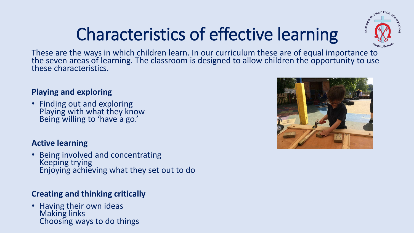# Characteristics of effective learning



These are the ways in which children learn. In our curriculum these are of equal importance to the seven areas of learning. The classroom is designed to allow children the opportunity to use these characteristics.

#### **Playing and exploring**

• Finding out and exploring Playing with what they know Being willing to 'have a go.'

#### **Active learning**

• Being involved and concentrating Keeping trying Enjoying achieving what they set out to do

#### **Creating and thinking critically**

• Having their own ideas Making links Choosing ways to do things

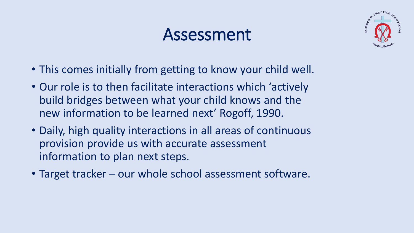### Assessment



- This comes initially from getting to know your child well.
- Our role is to then facilitate interactions which 'actively build bridges between what your child knows and the new information to be learned next' Rogoff, 1990.
- Daily, high quality interactions in all areas of continuous provision provide us with accurate assessment information to plan next steps.
- Target tracker our whole school assessment software.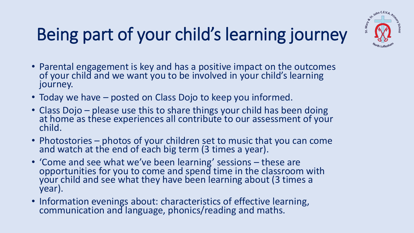# Being part of your child's learning journey



- Parental engagement is key and has a positive impact on the outcomes of your child and we want you to be involved in your child's learning journey.
- Today we have posted on Class Dojo to keep you informed.
- Class Dojo please use this to share things your child has been doing at home as these experiences all contribute to our assessment of your child.
- Photostories photos of your children set to music that you can come and watch at the end of each big term (3 times a year).
- 'Come and see what we've been learning' sessions these are opportunities for you to come and spend time in the classroom with your child and see what they have been learning about (3 times a year).
- Information evenings about: characteristics of effective learning, communication and language, phonics/reading and maths.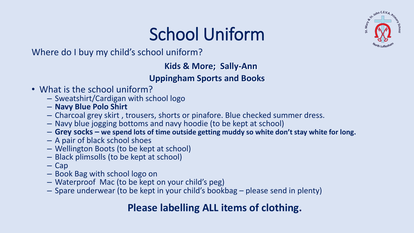# School Uniform



Where do I buy my child's school uniform?

#### **Kids & More; Sally-Ann**

#### **Uppingham Sports and Books**

- What is the school uniform?
	- Sweatshirt/Cardigan with school logo
	- **Navy Blue Polo Shirt**
	- Charcoal grey skirt , trousers, shorts or pinafore. Blue checked summer dress.
	- Navy blue jogging bottoms and navy hoodie (to be kept at school)
	- **Grey socks – we spend lots of time outside getting muddy so white don't stay white for long.**
	- A pair of black school shoes
	- Wellington Boots (to be kept at school)
	- Black plimsolls (to be kept at school)
	- Cap
	- Book Bag with school logo on
	- Waterproof Mac (to be kept on your child's peg)
	- Spare underwear (to be kept in your child's bookbag please send in plenty)

### **Please labelling ALL items of clothing.**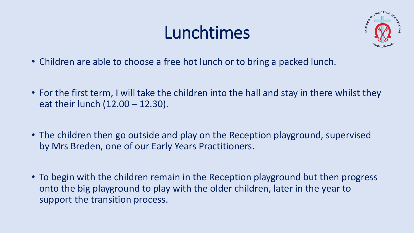# Lunchtimes



- Children are able to choose a free hot lunch or to bring a packed lunch.
- For the first term, I will take the children into the hall and stay in there whilst they eat their lunch (12.00 – 12.30).
- The children then go outside and play on the Reception playground, supervised by Mrs Breden, one of our Early Years Practitioners.
- To begin with the children remain in the Reception playground but then progress onto the big playground to play with the older children, later in the year to support the transition process.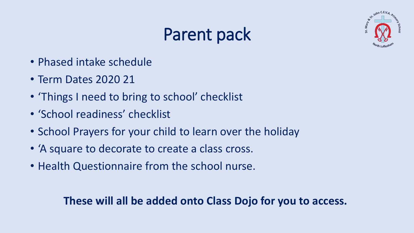# Parent pack



- Phased intake schedule
- Term Dates 2020 21
- 'Things I need to bring to school' checklist
- 'School readiness' checklist
- School Prayers for your child to learn over the holiday
- 'A square to decorate to create a class cross.
- Health Questionnaire from the school nurse.

### **These will all be added onto Class Dojo for you to access.**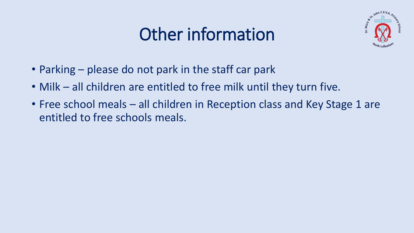# Other information



- Parking please do not park in the staff car park
- Milk all children are entitled to free milk until they turn five.
- Free school meals all children in Reception class and Key Stage 1 are entitled to free schools meals.